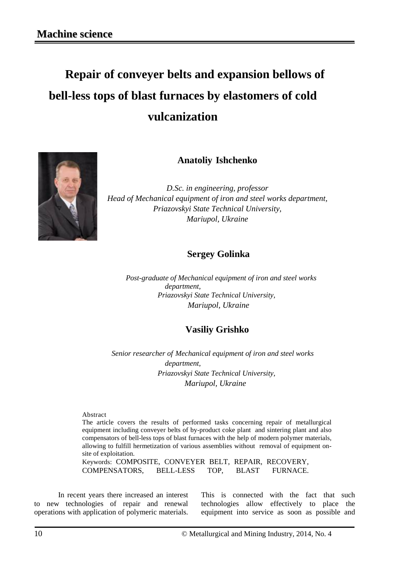# **Repair of conveyer belts and expansion bellows of bell-less tops of blast furnaces by elastomers of cold vulcanization**



**Anatoliy Ishchenko**

*D.Sc. in engineering, professor Head of Mechanical equipment of iron and steel works department, Priazovskyi State Technical University, Mariupol, Ukraine*

## **Sergey Golinka**

 *Post-graduate of Mechanical equipment of iron and steel works department, Priazovskyi State Technical University, Mariupol, Ukraine*

## **Vasiliy Grishko**

 *Senior researcher of Mechanical equipment of iron and steel works department, Priazovskyi State Technical University, Mariupol, Ukraine*

Abstract

The article covers the results of performed tasks concerning repair of metallurgical equipment including conveyer belts of by-product coke plant and sintering plant and also compensators of bell-less tops of blast furnaces with the help of modern polymer materials, allowing to fulfill hermetization of various assemblies without removal of equipment onsite of exploitation.

Keywords: COMPOSITE, CONVEYER BELT, REPAIR, RECOVERY, COMPENSATORS, BELL-LESS TOP, BLAST FURNACE.

In recent years there increased an interest to new technologies of repair and renewal operations with application of polymeric materials.

This is connected with the fact that such technologies allow effectively to place the equipment into service as soon as possible and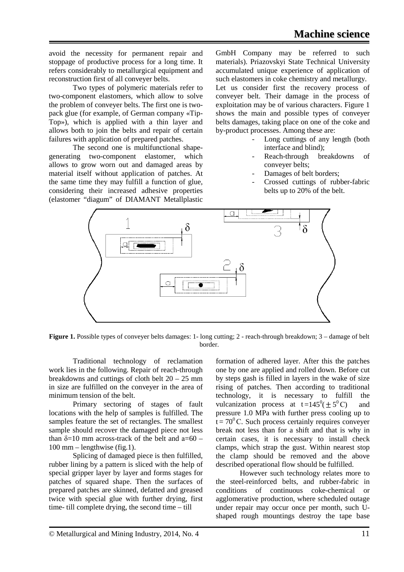avoid the necessity for permanent repair and stoppage of productive process for a long time. It refers considerably to metallurgical equipment and reconstruction first of all conveyer belts.

Two types of polymeric materials refer to two-component elastomers, which allow to solve the problem of conveyer belts. The first one is twopack glue (for example, of German company «Tip-Top»), which is applied with a thin layer and allows both to join the belts and repair of certain failures with application of prepared patches.

The second one is multifunctional shapegenerating two-component elastomer, which allows to grow worn out and damaged areas by material itself without application of patches. At the same time they may fulfill a function of glue, considering their increased adhesive properties (elastomer "diagum" of DIAMANT Metallplastic GmbH Company may be referred to such materials). Priazovskyi State Technical University accumulated unique experience of application of such elastomers in coke chemistry and metallurgy. Let us consider first the recovery process of conveyer belt. Their damage in the process of exploitation may be of various characters. Figure 1 shows the main and possible types of conveyer belts damages, taking place on one of the coke and by-product processes. Among these are:

- Long cuttings of any length (both interface and blind);
- Reach-through breakdowns of conveyer belts;
- Damages of belt borders;
- Crossed cuttings of rubber-fabric belts up to 20% of the belt.



**Figure 1.** Possible types of conveyer belts damages: 1- long cutting; 2 - reach-through breakdown; 3 – damage of belt border.

Traditional technology of reclamation work lies in the following. Repair of reach-through breakdowns and cuttings of cloth belt 20 – 25 mm in size are fulfilled on the conveyer in the area of minimum tension of the belt.

Primary sectoring of stages of fault locations with the help of samples is fulfilled. The samples feature the set of rectangles. The smallest sample should recover the damaged piece not less than  $\delta$ =10 mm across-track of the belt and a=60 – 100 mm – lengthwise (fig.1).

Splicing of damaged piece is then fulfilled, rubber lining by a pattern is sliced with the help of special gripper layer by layer and forms stages for patches of squared shape. Then the surfaces of prepared patches are skinned, defatted and greased twice with special glue with further drying, first time- till complete drying, the second time – till

formation of adhered layer. After this the patches one by one are applied and rolled down. Before cut by steps gash is filled in layers in the wake of size rising of patches. Then according to traditional technology, it is necessary to fulfill the vulcanization process at  $t = 145^0(\pm 5^0C)$  and pressure 1.0 MPa with further press cooling up to  $t = 70^{\circ}$ C. Such process certainly requires conveyer break not less than for a shift and that is why in certain cases, it is necessary to install check clamps, which strap the gust. Within nearest stop the clamp should be removed and the above described operational flow should be fulfilled.

However such technology relates more to the steel-reinforced belts, and rubber-fabric in conditions of continuous coke-chemical or agglomerative production, where scheduled outage under repair may occur once per month, such Ushaped rough mountings destroy the tape base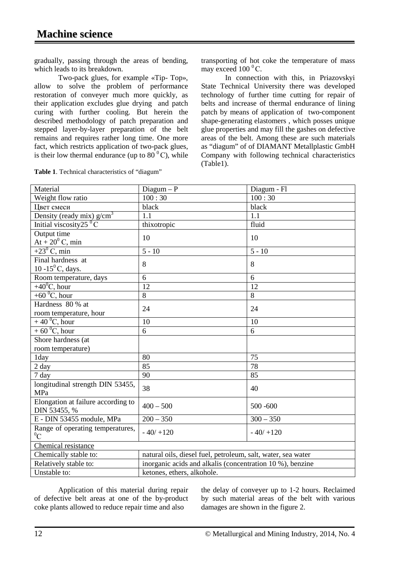gradually, passing through the areas of bending, which leads to its breakdown.

Two-pack glues, for example «Tip- Top», allow to solve the problem of performance restoration of conveyer much more quickly, as their application excludes glue drying and patch curing with further cooling. But herein the described methodology of patch preparation and stepped layer-by-layer preparation of the belt remains and requires rather long time. One more fact, which restricts application of two-pack glues, is their low thermal endurance (up to  $80^{\circ}$ C), while

| <b>Table 1.</b> Technical characteristics of "diagum" |  |  |
|-------------------------------------------------------|--|--|
|-------------------------------------------------------|--|--|

transporting of hot coke the temperature of mass may exceed  $100^{\circ}$ C.

In connection with this, in Priazovskyi State Technical University there was developed technology of further time cutting for repair of belts and increase of thermal endurance of lining patch by means of application of two-component shape-generating elastomers , which posses unique glue properties and may fill the gashes on defective areas of the belt. Among these are such materials as "diagum" of of DIAMANT Metallplastic GmbH Company with following technical characteristics (Table1).

| 100:30<br>100:30<br>Weight flow ratio<br>black<br>black<br>Цвет смеси<br>Density (ready mix) g/cm <sup>3</sup><br>1.1<br>1.1<br>Initial viscosity $25\degree C$<br>thixotropic<br>fluid<br>Output time<br>10<br>10<br>$At + 20^0 C$ , min<br>+23 <sup>0</sup> C, min<br>$5 - 10$<br>$5 - 10$<br>Final hardness at<br>8<br>8<br>10 -15 $\rm ^{0}C$ , days.<br>6<br>6<br>Room temperature, days<br>$+40^{\circ}$ C, hour<br>12<br>12<br>+60 $\mathrm{^0C}$ , hour<br>8<br>8<br>Hardness 80 % at<br>24<br>24<br>room temperature, hour<br>$+40^{\circ}$ C, hour<br>10<br>10<br>$+ 60^{\circ}$ C, hour<br>6<br>6<br>Shore hardness (at<br>room temperature)<br>75<br>80<br>1day<br>85<br>78<br>$2 \text{ day}$<br>90<br>85<br>7 day<br>longitudinal strength DIN 53455,<br>38<br>40<br>MPa<br>Elongation at failure according to<br>$400 - 500$<br>$500 - 600$<br>DIN 53455, %<br>E - DIN 53455 module, MPa<br>$200 - 350$<br>$300 - 350$<br>Range of operating temperatures,<br>$-40/ +120$<br>$-40/ +120$<br>${}^{0}C$<br>Chemical resistance<br>Chemically stable to:<br>natural oils, diesel fuel, petroleum, salt, water, sea water | Material              | $Diagum - P$                                              | Diagum - Fl |  |
|--------------------------------------------------------------------------------------------------------------------------------------------------------------------------------------------------------------------------------------------------------------------------------------------------------------------------------------------------------------------------------------------------------------------------------------------------------------------------------------------------------------------------------------------------------------------------------------------------------------------------------------------------------------------------------------------------------------------------------------------------------------------------------------------------------------------------------------------------------------------------------------------------------------------------------------------------------------------------------------------------------------------------------------------------------------------------------------------------------------------------------------|-----------------------|-----------------------------------------------------------|-------------|--|
|                                                                                                                                                                                                                                                                                                                                                                                                                                                                                                                                                                                                                                                                                                                                                                                                                                                                                                                                                                                                                                                                                                                                      |                       |                                                           |             |  |
|                                                                                                                                                                                                                                                                                                                                                                                                                                                                                                                                                                                                                                                                                                                                                                                                                                                                                                                                                                                                                                                                                                                                      |                       |                                                           |             |  |
|                                                                                                                                                                                                                                                                                                                                                                                                                                                                                                                                                                                                                                                                                                                                                                                                                                                                                                                                                                                                                                                                                                                                      |                       |                                                           |             |  |
|                                                                                                                                                                                                                                                                                                                                                                                                                                                                                                                                                                                                                                                                                                                                                                                                                                                                                                                                                                                                                                                                                                                                      |                       |                                                           |             |  |
|                                                                                                                                                                                                                                                                                                                                                                                                                                                                                                                                                                                                                                                                                                                                                                                                                                                                                                                                                                                                                                                                                                                                      |                       |                                                           |             |  |
|                                                                                                                                                                                                                                                                                                                                                                                                                                                                                                                                                                                                                                                                                                                                                                                                                                                                                                                                                                                                                                                                                                                                      |                       |                                                           |             |  |
|                                                                                                                                                                                                                                                                                                                                                                                                                                                                                                                                                                                                                                                                                                                                                                                                                                                                                                                                                                                                                                                                                                                                      |                       |                                                           |             |  |
|                                                                                                                                                                                                                                                                                                                                                                                                                                                                                                                                                                                                                                                                                                                                                                                                                                                                                                                                                                                                                                                                                                                                      |                       |                                                           |             |  |
|                                                                                                                                                                                                                                                                                                                                                                                                                                                                                                                                                                                                                                                                                                                                                                                                                                                                                                                                                                                                                                                                                                                                      |                       |                                                           |             |  |
|                                                                                                                                                                                                                                                                                                                                                                                                                                                                                                                                                                                                                                                                                                                                                                                                                                                                                                                                                                                                                                                                                                                                      |                       |                                                           |             |  |
|                                                                                                                                                                                                                                                                                                                                                                                                                                                                                                                                                                                                                                                                                                                                                                                                                                                                                                                                                                                                                                                                                                                                      |                       |                                                           |             |  |
|                                                                                                                                                                                                                                                                                                                                                                                                                                                                                                                                                                                                                                                                                                                                                                                                                                                                                                                                                                                                                                                                                                                                      |                       |                                                           |             |  |
|                                                                                                                                                                                                                                                                                                                                                                                                                                                                                                                                                                                                                                                                                                                                                                                                                                                                                                                                                                                                                                                                                                                                      |                       |                                                           |             |  |
|                                                                                                                                                                                                                                                                                                                                                                                                                                                                                                                                                                                                                                                                                                                                                                                                                                                                                                                                                                                                                                                                                                                                      |                       |                                                           |             |  |
|                                                                                                                                                                                                                                                                                                                                                                                                                                                                                                                                                                                                                                                                                                                                                                                                                                                                                                                                                                                                                                                                                                                                      |                       |                                                           |             |  |
|                                                                                                                                                                                                                                                                                                                                                                                                                                                                                                                                                                                                                                                                                                                                                                                                                                                                                                                                                                                                                                                                                                                                      |                       |                                                           |             |  |
|                                                                                                                                                                                                                                                                                                                                                                                                                                                                                                                                                                                                                                                                                                                                                                                                                                                                                                                                                                                                                                                                                                                                      |                       |                                                           |             |  |
|                                                                                                                                                                                                                                                                                                                                                                                                                                                                                                                                                                                                                                                                                                                                                                                                                                                                                                                                                                                                                                                                                                                                      |                       |                                                           |             |  |
|                                                                                                                                                                                                                                                                                                                                                                                                                                                                                                                                                                                                                                                                                                                                                                                                                                                                                                                                                                                                                                                                                                                                      |                       |                                                           |             |  |
|                                                                                                                                                                                                                                                                                                                                                                                                                                                                                                                                                                                                                                                                                                                                                                                                                                                                                                                                                                                                                                                                                                                                      |                       |                                                           |             |  |
|                                                                                                                                                                                                                                                                                                                                                                                                                                                                                                                                                                                                                                                                                                                                                                                                                                                                                                                                                                                                                                                                                                                                      |                       |                                                           |             |  |
|                                                                                                                                                                                                                                                                                                                                                                                                                                                                                                                                                                                                                                                                                                                                                                                                                                                                                                                                                                                                                                                                                                                                      |                       |                                                           |             |  |
|                                                                                                                                                                                                                                                                                                                                                                                                                                                                                                                                                                                                                                                                                                                                                                                                                                                                                                                                                                                                                                                                                                                                      |                       |                                                           |             |  |
|                                                                                                                                                                                                                                                                                                                                                                                                                                                                                                                                                                                                                                                                                                                                                                                                                                                                                                                                                                                                                                                                                                                                      |                       |                                                           |             |  |
|                                                                                                                                                                                                                                                                                                                                                                                                                                                                                                                                                                                                                                                                                                                                                                                                                                                                                                                                                                                                                                                                                                                                      |                       |                                                           |             |  |
|                                                                                                                                                                                                                                                                                                                                                                                                                                                                                                                                                                                                                                                                                                                                                                                                                                                                                                                                                                                                                                                                                                                                      |                       |                                                           |             |  |
|                                                                                                                                                                                                                                                                                                                                                                                                                                                                                                                                                                                                                                                                                                                                                                                                                                                                                                                                                                                                                                                                                                                                      |                       |                                                           |             |  |
|                                                                                                                                                                                                                                                                                                                                                                                                                                                                                                                                                                                                                                                                                                                                                                                                                                                                                                                                                                                                                                                                                                                                      |                       |                                                           |             |  |
|                                                                                                                                                                                                                                                                                                                                                                                                                                                                                                                                                                                                                                                                                                                                                                                                                                                                                                                                                                                                                                                                                                                                      |                       |                                                           |             |  |
|                                                                                                                                                                                                                                                                                                                                                                                                                                                                                                                                                                                                                                                                                                                                                                                                                                                                                                                                                                                                                                                                                                                                      | Relatively stable to: | inorganic acids and alkalis (concentration 10 %), benzine |             |  |
| Unstable to:<br>ketones, ethers, alkohole.                                                                                                                                                                                                                                                                                                                                                                                                                                                                                                                                                                                                                                                                                                                                                                                                                                                                                                                                                                                                                                                                                           |                       |                                                           |             |  |

Application of this material during repair of defective belt areas at one of the by-product coke plants allowed to reduce repair time and also

the delay of conveyer up to 1-2 hours. Reclaimed by such material areas of the belt with various damages are shown in the figure 2.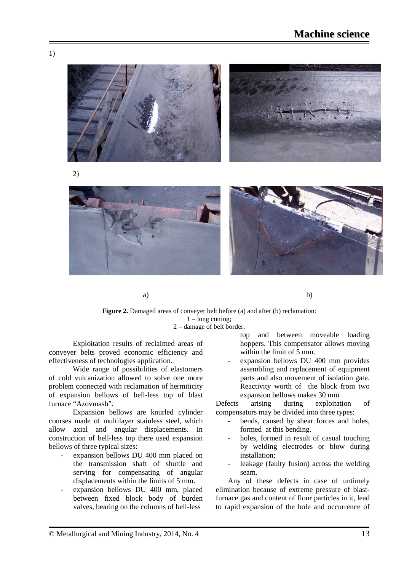

2)



a) b)

#### **Figure 2.** Damaged areas of conveyer belt before (a) and after (b) reclamation: 1 – long cutting; 2 – damage of belt border.

Exploitation results of reclaimed areas of conveyer belts proved economic efficiency and effectiveness of technologies application.

Wide range of possibilities of elastomers of cold vulcanization allowed to solve one more problem connected with reclamation of hermiticity of expansion bellows of bell-less top of blast furnace "Azovmash".

Expansion bellows are knurled cylinder courses made of multilayer stainless steel, which allow axial and angular displacements. In construction of bell-less top there used expansion bellows of three typical sizes:

- expansion bellows DU 400 mm placed on the transmission shaft of shuttle and serving for compensating of angular displacements within the limits of 5 mm.
- expansion bellows DU 400 mm, placed between fixed block body of burden valves, bearing on the columns of bell-less

top and between moveable loading hoppers. This compensator allows moving within the limit of 5 mm.

expansion bellows DU 400 mm provides assembling and replacement of equipment parts and also movement of isolation gate. Reactivity worth of the block from two expansion bellows makes 30 mm .

Defects arising during exploitation of compensators may be divided into three types:

- bends, caused by shear forces and holes, formed at this bending.
- holes, formed in result of casual touching by welding electrodes or blow during installation;
- leakage (faulty fusion) across the welding seam.

Any of these defects in case of untimely elimination because of extreme pressure of blastfurnace gas and content of flour particles in it, lead to rapid expansion of the hole and occurrence of

1)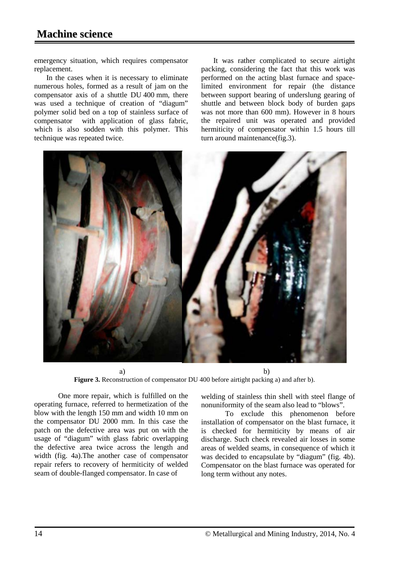emergency situation, which requires compensator replacement.

In the cases when it is necessary to eliminate numerous holes, formed as a result of jam on the compensator axis of a shuttle DU 400 mm, there was used a technique of creation of "diagum" polymer solid bed on a top of stainless surface of compensator with application of glass fabric, which is also sodden with this polymer. This technique was repeated twice.

It was rather complicated to secure airtight packing, considering the fact that this work was performed on the acting blast furnace and spacelimited environment for repair (the distance between support bearing of underslung gearing of shuttle and between block body of burden gaps was not more than 600 mm). However in 8 hours the repaired unit was operated and provided hermiticity of compensator within 1.5 hours till turn around maintenance(fig.3).



a) b) **Figure 3.** Reconstruction of compensator DU 400 before airtight packing a) and after b).

One more repair, which is fulfilled on the operating furnace, referred to hermetization of the blow with the length 150 mm and width 10 mm on the compensator DU 2000 mm. In this case the patch on the defective area was put on with the usage of "diagum" with glass fabric overlapping the defective area twice across the length and width (fig. 4a).The another case of compensator repair refers to recovery of hermiticity of welded seam of double-flanged compensator. In case of

welding of stainless thin shell with steel flange of nonuniformity of the seam also lead to "blows".

To exclude this phenomenon before installation of compensator on the blast furnace, it is checked for hermiticity by means of air discharge. Such check revealed air losses in some areas of welded seams, in consequence of which it was decided to encapsulate by "diagum" (fig. 4b). Compensator on the blast furnace was operated for long term without any notes.